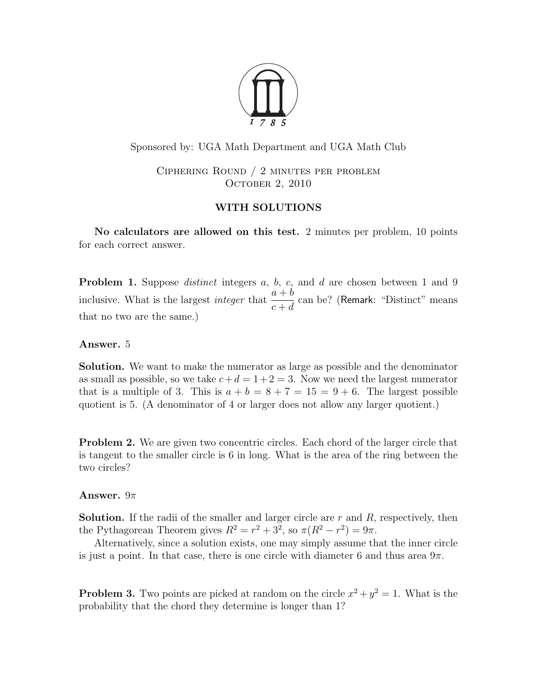

Sponsored by: UGA Math Department and UGA Math Club

Ciphering Round / 2 minutes per problem OCTOBER 2, 2010

# WITH SOLUTIONS

No calculators are allowed on this test. 2 minutes per problem, 10 points for each correct answer.

**Problem 1.** Suppose *distinct* integers a, b, c, and d are chosen between 1 and 9 inclusive. What is the largest *integer* that  $\frac{a+b}{a}$  $c + d$ can be? (Remark: "Distinct" means that no two are the same.)

# Answer. 5

Solution. We want to make the numerator as large as possible and the denominator as small as possible, so we take  $c+d=1+2=3$ . Now we need the largest numerator that is a multiple of 3. This is  $a + b = 8 + 7 = 15 = 9 + 6$ . The largest possible quotient is 5. (A denominator of 4 or larger does not allow any larger quotient.)

**Problem 2.** We are given two concentric circles. Each chord of the larger circle that is tangent to the smaller circle is 6 in long. What is the area of the ring between the two circles?

## Answer.  $9\pi$

**Solution.** If the radii of the smaller and larger circle are  $r$  and  $R$ , respectively, then the Pythagorean Theorem gives  $R^2 = r^2 + 3^2$ , so  $\pi(R^2 - r^2) = 9\pi$ .

Alternatively, since a solution exists, one may simply assume that the inner circle is just a point. In that case, there is one circle with diameter 6 and thus area  $9\pi$ .

**Problem 3.** Two points are picked at random on the circle  $x^2 + y^2 = 1$ . What is the probability that the chord they determine is longer than 1?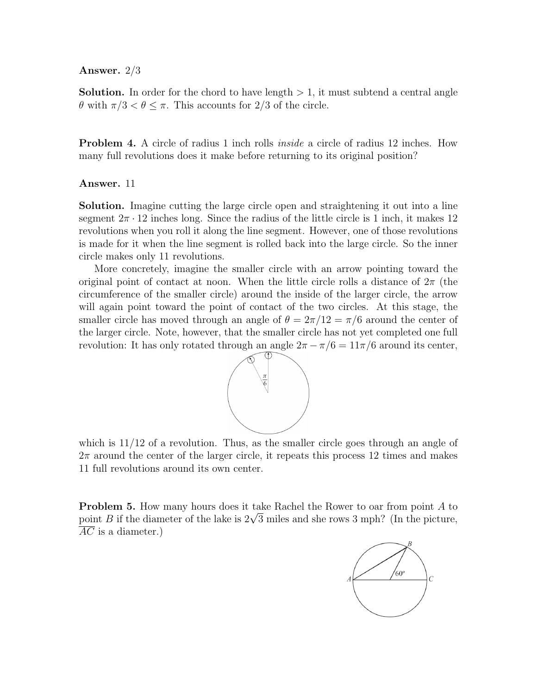#### Answer. 2/3

**Solution.** In order for the chord to have length  $> 1$ , it must subtend a central angle  $θ$  with  $π/3 < θ ≤ π$ . This accounts for 2/3 of the circle.

**Problem 4.** A circle of radius 1 inch rolls *inside* a circle of radius 12 inches. How many full revolutions does it make before returning to its original position?

#### Answer. 11

Solution. Imagine cutting the large circle open and straightening it out into a line segment  $2\pi \cdot 12$  inches long. Since the radius of the little circle is 1 inch, it makes 12 revolutions when you roll it along the line segment. However, one of those revolutions is made for it when the line segment is rolled back into the large circle. So the inner circle makes only 11 revolutions.

More concretely, imagine the smaller circle with an arrow pointing toward the original point of contact at noon. When the little circle rolls a distance of  $2\pi$  (the circumference of the smaller circle) around the inside of the larger circle, the arrow will again point toward the point of contact of the two circles. At this stage, the smaller circle has moved through an angle of  $\theta = 2\pi/12 = \pi/6$  around the center of the larger circle. Note, however, that the smaller circle has not yet completed one full revolution: It has only rotated through an angle  $2\pi - \pi/6 = 11\pi/6$  around its center,



which is  $11/12$  of a revolution. Thus, as the smaller circle goes through an angle of  $2\pi$  around the center of the larger circle, it repeats this process 12 times and makes 11 full revolutions around its own center.

Problem 5. How many hours does it take Rachel the Rower to oar from point A to **Problem 5.** How many nours does it take Rachel the Rower to oar from point A to point B if the diameter of the lake is  $2\sqrt{3}$  miles and she rows 3 mph? (In the picture,  $\overline{AC}$  is a diameter.)

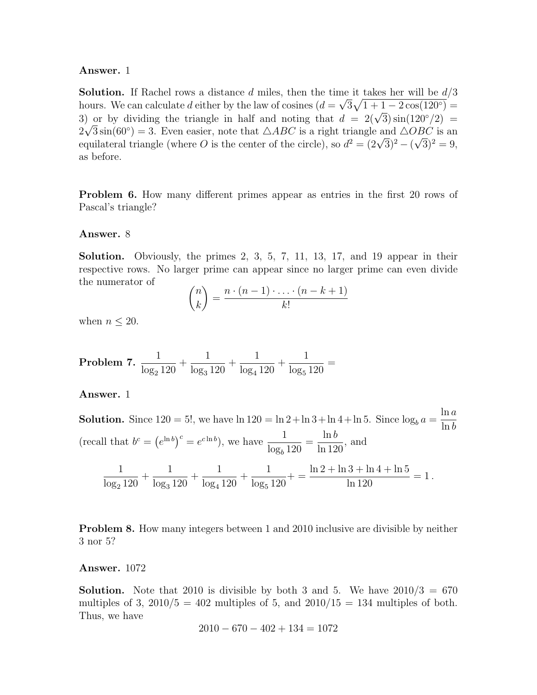#### Answer. 1

**Solution.** If Rachel rows a distance d miles, then the time it takes her will be  $d/3$ hours. We can calculate d either by the law of cosines  $(d = \sqrt{3}\sqrt{1+1-2\cos(120^\circ)} =$ from the calculate a entire by the law of cosines  $(a = \sqrt{3}\sqrt{1+1} - 2\cos(120)) =$ <br>3) or by dividing the triangle in half and noting that  $d = 2(\sqrt{3})\sin(120^\circ/2) =$  $2\sqrt{3}\sin(60^\circ) = 3$ . Even easier, note that  $\triangle ABC$  is a right triangle and  $\triangle OBC$  is an  $2\nabla \delta \sin(\delta \nu^*) = 3$ . Even easier, note that  $\triangle ABC$  is a right triangle and  $\triangle C$ <br>equilateral triangle (where O is the center of the circle), so  $d^2 = (2\sqrt{3})^2 - (2\sqrt{3})^2$ √  $\overline{3})^2 = 9,$ as before.

**Problem 6.** How many different primes appear as entries in the first 20 rows of Pascal's triangle?

#### Answer. 8

Solution. Obviously, the primes 2, 3, 5, 7, 11, 13, 17, and 19 appear in their respective rows. No larger prime can appear since no larger prime can even divide the numerator of

$$
\binom{n}{k} = \frac{n \cdot (n-1) \cdot \ldots \cdot (n-k+1)}{k!}
$$

when  $n \leq 20$ .

Problem 7.  $\frac{1}{1}$  $log_2 120$  $+$ 1  $log_3 120$  $+$ 1  $log_4 120$  $+$ 1  $log_5 120$ =

Answer. 1

**Solution.** Since  $120 = 5!$ , we have  $\ln 120 = \ln 2 + \ln 3 + \ln 4 + \ln 5$ . Since  $\log_b a =$  $ln a$  $\ln b$ (recall that  $b^c = (e^{\ln b})^c = e^{c \ln b}$ ), we have  $\frac{1}{1}$  $log_b 120$ =  $\ln b$  $\frac{\text{m}\,\text{o}}{\ln 120}$ , and 1  $log_2 120$  $+$ 1  $log_3 120$  $+$ 1  $log_4 120$  $+$ 1  $log_5 120$  $+ =$  $\ln 2 + \ln 3 + \ln 4 + \ln 5$  $\frac{6+m+1+10}{\ln 120} = 1.$ 

Problem 8. How many integers between 1 and 2010 inclusive are divisible by neither 3 nor 5?

#### Answer. 1072

**Solution.** Note that 2010 is divisible by both 3 and 5. We have  $2010/3 = 670$ multiples of 3,  $2010/5 = 402$  multiples of 5, and  $2010/15 = 134$  multiples of both. Thus, we have

$$
2010 - 670 - 402 + 134 = 1072
$$